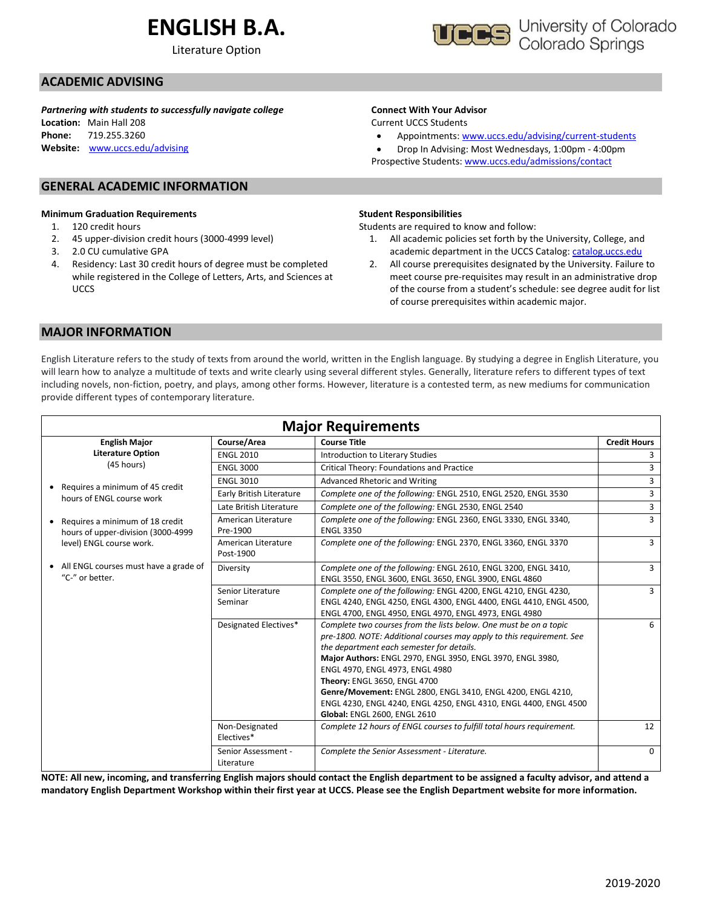# **ENGLISH B.A.**

Literature Option



### **ACADEMIC ADVISING**

*Partnering with students to successfully navigate college*

**Location:** Main Hall 208 **Phone:** 719.255.3260 **Website:** [www.uccs.edu/advising](http://www.uccs.edu/advising)

#### **GENERAL ACADEMIC INFORMATION**

#### **Minimum Graduation Requirements**

- 1. 120 credit hours
- 2. 45 upper-division credit hours (3000-4999 level)
- 3. 2.0 CU cumulative GPA
- 4. Residency: Last 30 credit hours of degree must be completed while registered in the College of Letters, Arts, and Sciences at UCCS

#### **Connect With Your Advisor**

Current UCCS Students

• Appointments: [www.uccs.edu/advising/current-students](http://www.uccs.edu/advising/current-students)

• Drop In Advising: Most Wednesdays, 1:00pm - 4:00pm Prospective Students: [www.uccs.edu/admissions/contact](http://www.uccs.edu/admissions/contact)

#### **Student Responsibilities**

Students are required to know and follow:

- 1. All academic policies set forth by the University, College, and academic department in the UCCS Catalog[: catalog.uccs.edu](file://///columbia/dept/Success/Advising%20Guides/197%20Advising%20Guides/catalog.uccs.edu)
- 2. All course prerequisites designated by the University. Failure to meet course pre-requisites may result in an administrative drop of the course from a student's schedule: see degree audit for list of course prerequisites within academic major.

#### **MAJOR INFORMATION**

English Literature refers to the study of texts from around the world, written in the English language. By studying a degree in English Literature, you will learn how to analyze a multitude of texts and write clearly using several different styles. Generally, literature refers to different types of text including novels, non-fiction, poetry, and plays, among other forms. However, literature is a contested term, as new mediums for communication provide different types of contemporary literature.

| <b>Major Requirements</b>                                             |                                   |                                                                                                                                                                                                                                                                                                                                                                                                                                                                                             |                     |  |  |  |  |
|-----------------------------------------------------------------------|-----------------------------------|---------------------------------------------------------------------------------------------------------------------------------------------------------------------------------------------------------------------------------------------------------------------------------------------------------------------------------------------------------------------------------------------------------------------------------------------------------------------------------------------|---------------------|--|--|--|--|
| <b>English Major</b>                                                  | Course/Area                       | <b>Course Title</b>                                                                                                                                                                                                                                                                                                                                                                                                                                                                         | <b>Credit Hours</b> |  |  |  |  |
| <b>Literature Option</b>                                              | <b>ENGL 2010</b>                  | Introduction to Literary Studies                                                                                                                                                                                                                                                                                                                                                                                                                                                            | 3                   |  |  |  |  |
| (45 hours)                                                            | <b>ENGL 3000</b>                  | Critical Theory: Foundations and Practice                                                                                                                                                                                                                                                                                                                                                                                                                                                   | 3                   |  |  |  |  |
| Requires a minimum of 45 credit                                       | <b>ENGL 3010</b>                  | Advanced Rhetoric and Writing                                                                                                                                                                                                                                                                                                                                                                                                                                                               | 3                   |  |  |  |  |
| hours of ENGL course work                                             | Early British Literature          | Complete one of the following: ENGL 2510, ENGL 2520, ENGL 3530                                                                                                                                                                                                                                                                                                                                                                                                                              | 3                   |  |  |  |  |
|                                                                       | Late British Literature           | Complete one of the following: ENGL 2530, ENGL 2540                                                                                                                                                                                                                                                                                                                                                                                                                                         | $\overline{3}$      |  |  |  |  |
| Requires a minimum of 18 credit<br>hours of upper-division (3000-4999 | American Literature<br>Pre-1900   | Complete one of the following: ENGL 2360, ENGL 3330, ENGL 3340,<br><b>ENGL 3350</b>                                                                                                                                                                                                                                                                                                                                                                                                         | $\overline{3}$      |  |  |  |  |
| level) ENGL course work.                                              | American Literature<br>Post-1900  | Complete one of the following: ENGL 2370, ENGL 3360, ENGL 3370                                                                                                                                                                                                                                                                                                                                                                                                                              | $\overline{3}$      |  |  |  |  |
| All ENGL courses must have a grade of<br>"C-" or better.              | Diversity                         | Complete one of the following: ENGL 2610, ENGL 3200, ENGL 3410,<br>ENGL 3550, ENGL 3600, ENGL 3650, ENGL 3900, ENGL 4860                                                                                                                                                                                                                                                                                                                                                                    | $\overline{3}$      |  |  |  |  |
|                                                                       | Senior Literature<br>Seminar      | Complete one of the following: ENGL 4200, ENGL 4210, ENGL 4230,<br>ENGL 4240, ENGL 4250, ENGL 4300, ENGL 4400, ENGL 4410, ENGL 4500,<br>ENGL 4700, ENGL 4950, ENGL 4970, ENGL 4973, ENGL 4980                                                                                                                                                                                                                                                                                               | $\overline{3}$      |  |  |  |  |
|                                                                       | Designated Electives*             | Complete two courses from the lists below. One must be on a topic<br>pre-1800. NOTE: Additional courses may apply to this requirement. See<br>the department each semester for details.<br>Major Authors: ENGL 2970, ENGL 3950, ENGL 3970, ENGL 3980,<br>ENGL 4970, ENGL 4973, ENGL 4980<br>Theory: ENGL 3650, ENGL 4700<br>Genre/Movement: ENGL 2800, ENGL 3410, ENGL 4200, ENGL 4210,<br>ENGL 4230, ENGL 4240, ENGL 4250, ENGL 4310, ENGL 4400, ENGL 4500<br>Global: ENGL 2600, ENGL 2610 | 6                   |  |  |  |  |
|                                                                       | Non-Designated<br>Electives*      | Complete 12 hours of ENGL courses to fulfill total hours requirement.                                                                                                                                                                                                                                                                                                                                                                                                                       | 12                  |  |  |  |  |
|                                                                       | Senior Assessment -<br>Literature | Complete the Senior Assessment - Literature.                                                                                                                                                                                                                                                                                                                                                                                                                                                | $\mathbf{0}$        |  |  |  |  |

**NOTE: All new, incoming, and transferring English majors should contact the English department to be assigned a faculty advisor, and attend a mandatory English Department Workshop within their first year at UCCS. Please see the English Department website for more information.**